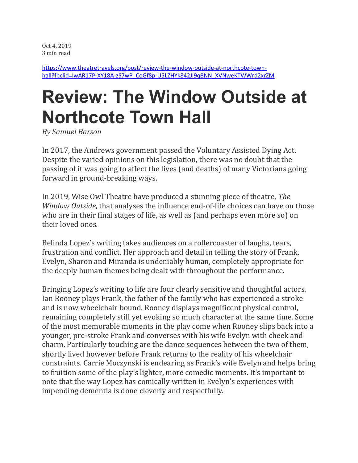Oct 4, 2019 3 min read

[https://www.theatretravels.org/post/review-the-window-outside-at-northcote-town](https://www.theatretravels.org/post/review-the-window-outside-at-northcote-town-hall?fbclid=IwAR17P-XY18A-zS7wP_CoGf8p-U5LZHYk842JI9q8NN_XVNweKTWWrd2xrZM)[hall?fbclid=IwAR17P-XY18A-zS7wP\\_CoGf8p-U5LZHYk842JI9q8NN\\_XVNweKTWWrd2xrZM](https://www.theatretravels.org/post/review-the-window-outside-at-northcote-town-hall?fbclid=IwAR17P-XY18A-zS7wP_CoGf8p-U5LZHYk842JI9q8NN_XVNweKTWWrd2xrZM)

## **Review: The Window Outside at Northcote Town Hall**

*By Samuel Barson*

In 2017, the Andrews government passed the Voluntary Assisted Dying Act. Despite the varied opinions on this legislation, there was no doubt that the passing of it was going to affect the lives (and deaths) of many Victorians going forward in ground-breaking ways.

In 2019, Wise Owl Theatre have produced a stunning piece of theatre, *The Window Outside*, that analyses the influence end-of-life choices can have on those who are in their final stages of life, as well as (and perhaps even more so) on their loved ones.

Belinda Lopez's writing takes audiences on a rollercoaster of laughs, tears, frustration and conflict. Her approach and detail in telling the story of Frank, Evelyn, Sharon and Miranda is undeniably human, completely appropriate for the deeply human themes being dealt with throughout the performance.

Bringing Lopez's writing to life are four clearly sensitive and thoughtful actors. Ian Rooney plays Frank, the father of the family who has experienced a stroke and is now wheelchair bound. Rooney displays magnificent physical control, remaining completely still yet evoking so much character at the same time. Some of the most memorable moments in the play come when Rooney slips back into a younger, pre-stroke Frank and converses with his wife Evelyn with cheek and charm. Particularly touching are the dance sequences between the two of them, shortly lived however before Frank returns to the reality of his wheelchair constraints. Carrie Moczynski is endearing as Frank's wife Evelyn and helps bring to fruition some of the play's lighter, more comedic moments. It's important to note that the way Lopez has comically written in Evelyn's experiences with impending dementia is done cleverly and respectfully.